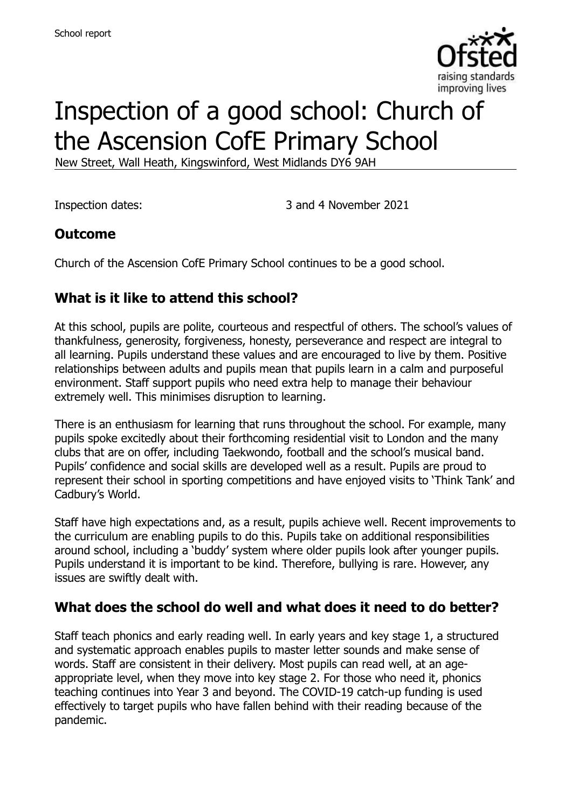

# Inspection of a good school: Church of the Ascension CofE Primary School

New Street, Wall Heath, Kingswinford, West Midlands DY6 9AH

Inspection dates: 3 and 4 November 2021

#### **Outcome**

Church of the Ascension CofE Primary School continues to be a good school.

### **What is it like to attend this school?**

At this school, pupils are polite, courteous and respectful of others. The school's values of thankfulness, generosity, forgiveness, honesty, perseverance and respect are integral to all learning. Pupils understand these values and are encouraged to live by them. Positive relationships between adults and pupils mean that pupils learn in a calm and purposeful environment. Staff support pupils who need extra help to manage their behaviour extremely well. This minimises disruption to learning.

There is an enthusiasm for learning that runs throughout the school. For example, many pupils spoke excitedly about their forthcoming residential visit to London and the many clubs that are on offer, including Taekwondo, football and the school's musical band. Pupils' confidence and social skills are developed well as a result. Pupils are proud to represent their school in sporting competitions and have enjoyed visits to 'Think Tank' and Cadbury's World.

Staff have high expectations and, as a result, pupils achieve well. Recent improvements to the curriculum are enabling pupils to do this. Pupils take on additional responsibilities around school, including a 'buddy' system where older pupils look after younger pupils. Pupils understand it is important to be kind. Therefore, bullying is rare. However, any issues are swiftly dealt with.

#### **What does the school do well and what does it need to do better?**

Staff teach phonics and early reading well. In early years and key stage 1, a structured and systematic approach enables pupils to master letter sounds and make sense of words. Staff are consistent in their delivery. Most pupils can read well, at an ageappropriate level, when they move into key stage 2. For those who need it, phonics teaching continues into Year 3 and beyond. The COVID-19 catch-up funding is used effectively to target pupils who have fallen behind with their reading because of the pandemic.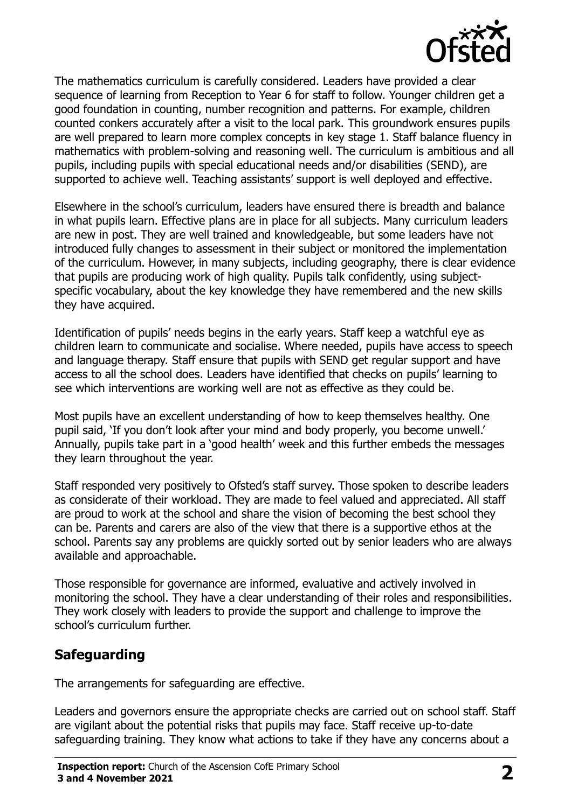

The mathematics curriculum is carefully considered. Leaders have provided a clear sequence of learning from Reception to Year 6 for staff to follow. Younger children get a good foundation in counting, number recognition and patterns. For example, children counted conkers accurately after a visit to the local park. This groundwork ensures pupils are well prepared to learn more complex concepts in key stage 1. Staff balance fluency in mathematics with problem-solving and reasoning well. The curriculum is ambitious and all pupils, including pupils with special educational needs and/or disabilities (SEND), are supported to achieve well. Teaching assistants' support is well deployed and effective.

Elsewhere in the school's curriculum, leaders have ensured there is breadth and balance in what pupils learn. Effective plans are in place for all subjects. Many curriculum leaders are new in post. They are well trained and knowledgeable, but some leaders have not introduced fully changes to assessment in their subject or monitored the implementation of the curriculum. However, in many subjects, including geography, there is clear evidence that pupils are producing work of high quality. Pupils talk confidently, using subjectspecific vocabulary, about the key knowledge they have remembered and the new skills they have acquired.

Identification of pupils' needs begins in the early years. Staff keep a watchful eye as children learn to communicate and socialise. Where needed, pupils have access to speech and language therapy. Staff ensure that pupils with SEND get regular support and have access to all the school does. Leaders have identified that checks on pupils' learning to see which interventions are working well are not as effective as they could be.

Most pupils have an excellent understanding of how to keep themselves healthy. One pupil said, 'If you don't look after your mind and body properly, you become unwell.' Annually, pupils take part in a 'good health' week and this further embeds the messages they learn throughout the year.

Staff responded very positively to Ofsted's staff survey. Those spoken to describe leaders as considerate of their workload. They are made to feel valued and appreciated. All staff are proud to work at the school and share the vision of becoming the best school they can be. Parents and carers are also of the view that there is a supportive ethos at the school. Parents say any problems are quickly sorted out by senior leaders who are always available and approachable.

Those responsible for governance are informed, evaluative and actively involved in monitoring the school. They have a clear understanding of their roles and responsibilities. They work closely with leaders to provide the support and challenge to improve the school's curriculum further.

### **Safeguarding**

The arrangements for safeguarding are effective.

Leaders and governors ensure the appropriate checks are carried out on school staff. Staff are vigilant about the potential risks that pupils may face. Staff receive up-to-date safeguarding training. They know what actions to take if they have any concerns about a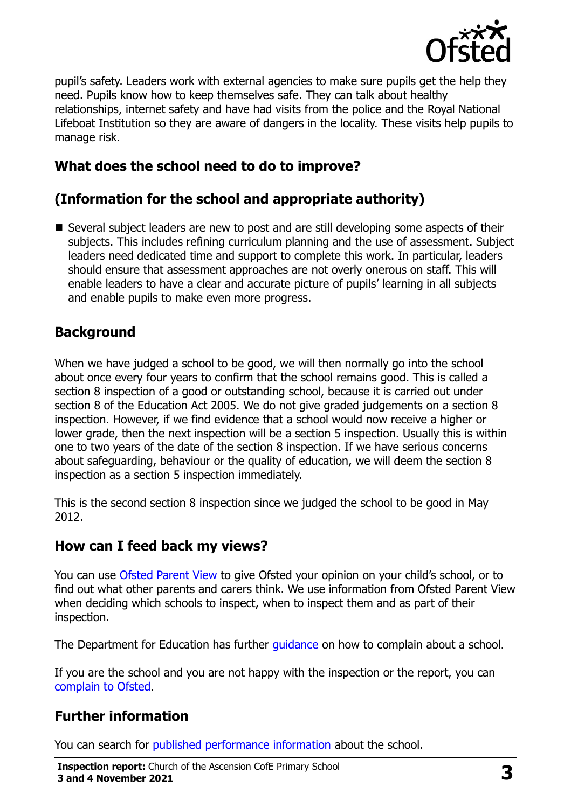

pupil's safety. Leaders work with external agencies to make sure pupils get the help they need. Pupils know how to keep themselves safe. They can talk about healthy relationships, internet safety and have had visits from the police and the Royal National Lifeboat Institution so they are aware of dangers in the locality. These visits help pupils to manage risk.

### **What does the school need to do to improve?**

#### **(Information for the school and appropriate authority)**

■ Several subject leaders are new to post and are still developing some aspects of their subjects. This includes refining curriculum planning and the use of assessment. Subject leaders need dedicated time and support to complete this work. In particular, leaders should ensure that assessment approaches are not overly onerous on staff. This will enable leaders to have a clear and accurate picture of pupils' learning in all subjects and enable pupils to make even more progress.

#### **Background**

When we have judged a school to be good, we will then normally go into the school about once every four years to confirm that the school remains good. This is called a section 8 inspection of a good or outstanding school, because it is carried out under section 8 of the Education Act 2005. We do not give graded judgements on a section 8 inspection. However, if we find evidence that a school would now receive a higher or lower grade, then the next inspection will be a section 5 inspection. Usually this is within one to two years of the date of the section 8 inspection. If we have serious concerns about safeguarding, behaviour or the quality of education, we will deem the section 8 inspection as a section 5 inspection immediately.

This is the second section 8 inspection since we judged the school to be good in May 2012.

#### **How can I feed back my views?**

You can use [Ofsted Parent View](https://parentview.ofsted.gov.uk/) to give Ofsted your opinion on your child's school, or to find out what other parents and carers think. We use information from Ofsted Parent View when deciding which schools to inspect, when to inspect them and as part of their inspection.

The Department for Education has further quidance on how to complain about a school.

If you are the school and you are not happy with the inspection or the report, you can [complain to Ofsted.](https://www.gov.uk/complain-ofsted-report)

#### **Further information**

You can search for [published performance information](http://www.compare-school-performance.service.gov.uk/) about the school.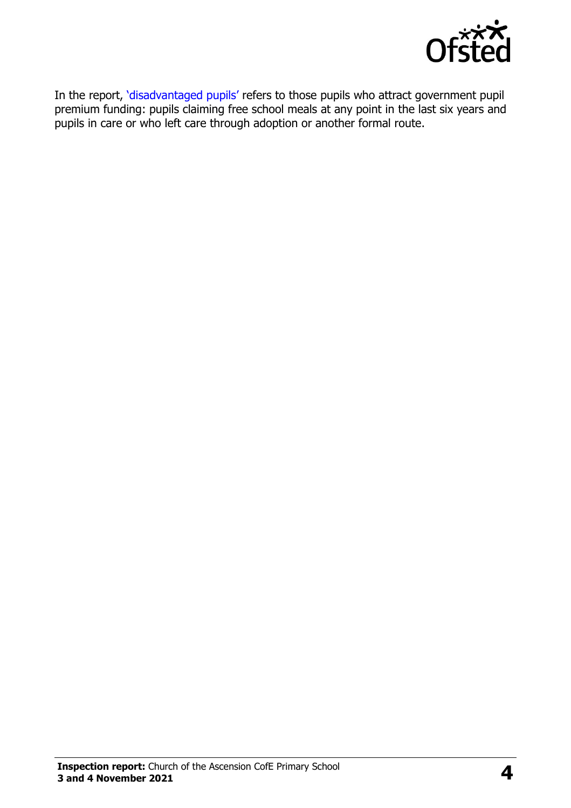

In the report, '[disadvantaged pupils](http://www.gov.uk/guidance/pupil-premium-information-for-schools-and-alternative-provision-settings)' refers to those pupils who attract government pupil premium funding: pupils claiming free school meals at any point in the last six years and pupils in care or who left care through adoption or another formal route.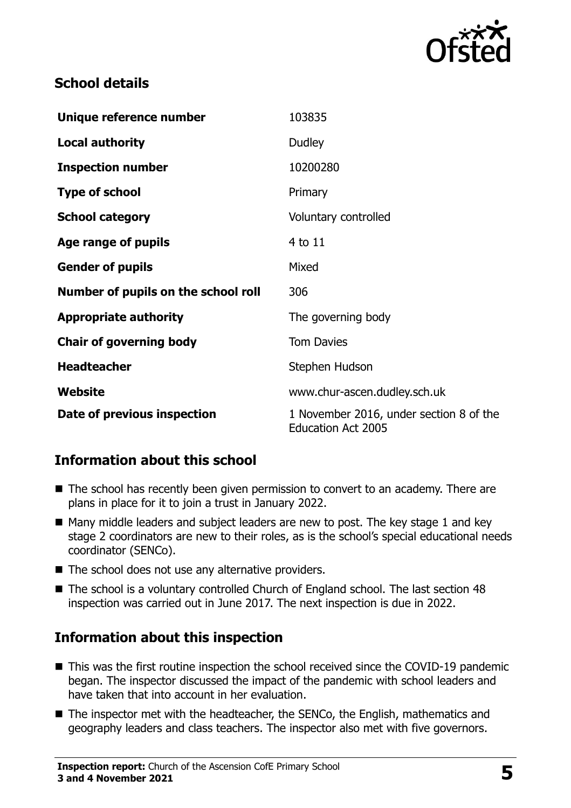

#### **School details**

| Unique reference number             | 103835                                                               |
|-------------------------------------|----------------------------------------------------------------------|
| <b>Local authority</b>              | <b>Dudley</b>                                                        |
| <b>Inspection number</b>            | 10200280                                                             |
| <b>Type of school</b>               | Primary                                                              |
| <b>School category</b>              | Voluntary controlled                                                 |
| Age range of pupils                 | 4 to 11                                                              |
| <b>Gender of pupils</b>             | Mixed                                                                |
| Number of pupils on the school roll | 306                                                                  |
| <b>Appropriate authority</b>        | The governing body                                                   |
| <b>Chair of governing body</b>      | <b>Tom Davies</b>                                                    |
| <b>Headteacher</b>                  | Stephen Hudson                                                       |
| <b>Website</b>                      | www.chur-ascen.dudley.sch.uk                                         |
| Date of previous inspection         | 1 November 2016, under section 8 of the<br><b>Education Act 2005</b> |

### **Information about this school**

- The school has recently been given permission to convert to an academy. There are plans in place for it to join a trust in January 2022.
- $\blacksquare$  Many middle leaders and subject leaders are new to post. The key stage 1 and key stage 2 coordinators are new to their roles, as is the school's special educational needs coordinator (SENCo).
- $\blacksquare$  The school does not use any alternative providers.
- The school is a voluntary controlled Church of England school. The last section 48 inspection was carried out in June 2017. The next inspection is due in 2022.

## **Information about this inspection**

- This was the first routine inspection the school received since the COVID-19 pandemic began. The inspector discussed the impact of the pandemic with school leaders and have taken that into account in her evaluation.
- The inspector met with the headteacher, the SENCo, the English, mathematics and geography leaders and class teachers. The inspector also met with five governors.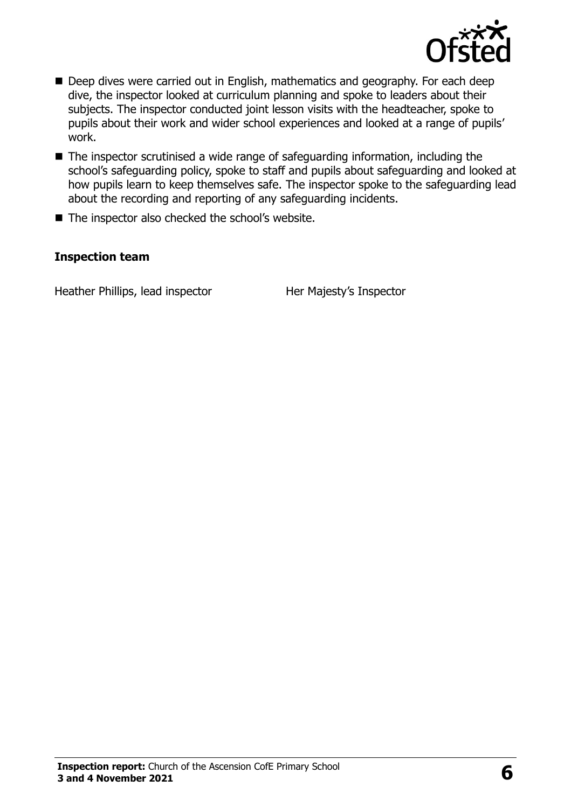

- Deep dives were carried out in English, mathematics and geography. For each deep dive, the inspector looked at curriculum planning and spoke to leaders about their subjects. The inspector conducted joint lesson visits with the headteacher, spoke to pupils about their work and wider school experiences and looked at a range of pupils' work.
- The inspector scrutinised a wide range of safeguarding information, including the school's safeguarding policy, spoke to staff and pupils about safeguarding and looked at how pupils learn to keep themselves safe. The inspector spoke to the safeguarding lead about the recording and reporting of any safeguarding incidents.
- The inspector also checked the school's website.

#### **Inspection team**

Heather Phillips, lead inspector Her Majesty's Inspector